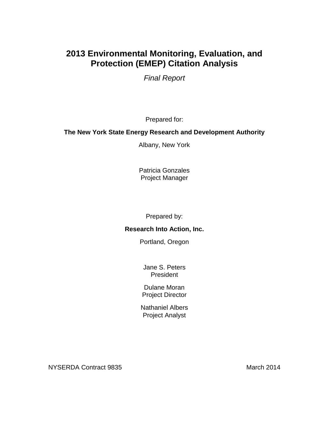# **2013 Environmental Monitoring, Evaluation, and Protection (EMEP) Citation Analysis**

*Final Report*

Prepared for:

### **The New York State Energy Research and Development Authority**

Albany, New York

Patricia Gonzales Project Manager

Prepared by:

### **Research Into Action, Inc.**

Portland, Oregon

Jane S. Peters President

Dulane Moran Project Director

Nathaniel Albers Project Analyst

NYSERDA Contract 9835 March 2014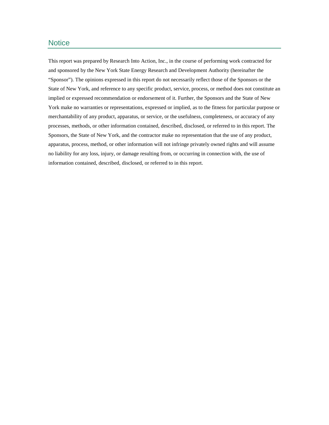#### **Notice**

This report was prepared by Research Into Action, Inc., in the course of performing work contracted for and sponsored by the New York State Energy Research and Development Authority (hereinafter the "Sponsor"). The opinions expressed in this report do not necessarily reflect those of the Sponsors or the State of New York, and reference to any specific product, service, process, or method does not constitute an implied or expressed recommendation or endorsement of it. Further, the Sponsors and the State of New York make no warranties or representations, expressed or implied, as to the fitness for particular purpose or merchantability of any product, apparatus, or service, or the usefulness, completeness, or accuracy of any processes, methods, or other information contained, described, disclosed, or referred to in this report. The Sponsors, the State of New York, and the contractor make no representation that the use of any product, apparatus, process, method, or other information will not infringe privately owned rights and will assume no liability for any loss, injury, or damage resulting from, or occurring in connection with, the use of information contained, described, disclosed, or referred to in this report.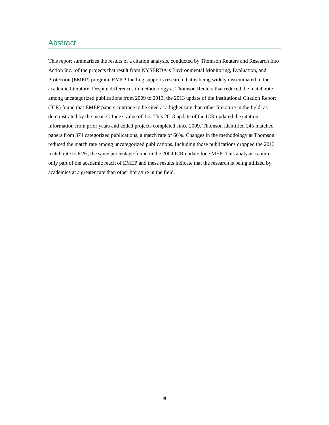#### Abstract

This report summarizes the results of a citation analysis, conducted by Thomson Reuters and Research Into Action Inc., of the projects that result from NYSERDA's Environmental Monitoring, Evaluation, and Protection (EMEP) program. EMEP funding supports research that is being widely disseminated in the academic literature. Despite differences in methodology at Thomson Reuters that reduced the match rate among uncategorized publications from 2009 to 2013, the 2013 update of the Institutional Citation Report (ICR) found that EMEP papers continue to be cited at a higher rate than other literature in the field, as demonstrated by the mean C-Index value of 1.3. This 2013 update of the ICR updated the citation information from prior years and added projects completed since 2009. Thomson identified 245 matched papers from 374 categorized publications, a match rate of 66%. Changes in the methodology at Thomson reduced the match rate among uncategorized publications. Including those publications dropped the 2013 match rate to 61%, the same percentage found in the 2009 ICR update for EMEP. This analysis captures only part of the academic reach of EMEP and these results indicate that the research is being utilized by academics at a greater rate than other literature in the field.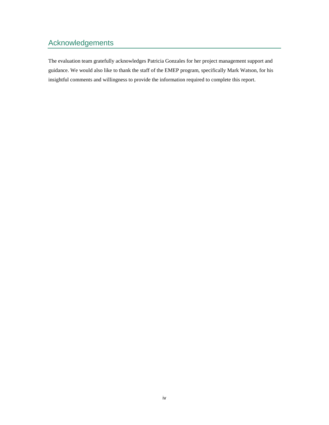### Acknowledgements

The evaluation team gratefully acknowledges Patricia Gonzales for her project management support and guidance. We would also like to thank the staff of the EMEP program, specifically Mark Watson, for his insightful comments and willingness to provide the information required to complete this report.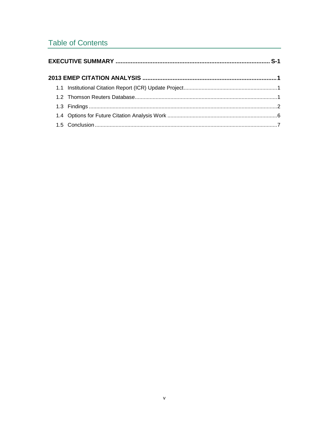### **Table of Contents**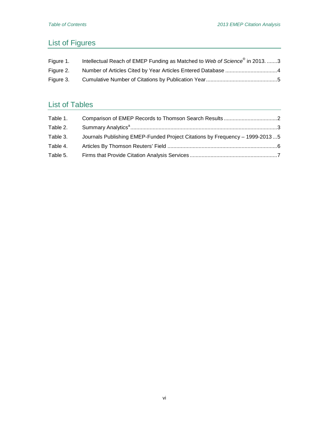# List of Figures

| Figure 1. | Intellectual Reach of EMEP Funding as Matched to Web of Science® in 2013. 3 |
|-----------|-----------------------------------------------------------------------------|
| Figure 2. |                                                                             |
| Figure 3. |                                                                             |

# List of Tables

| Table 1. |                                                                             |  |
|----------|-----------------------------------------------------------------------------|--|
| Table 2. |                                                                             |  |
| Table 3. | Journals Publishing EMEP-Funded Project Citations by Frequency - 1999-20135 |  |
| Table 4. |                                                                             |  |
| Table 5. |                                                                             |  |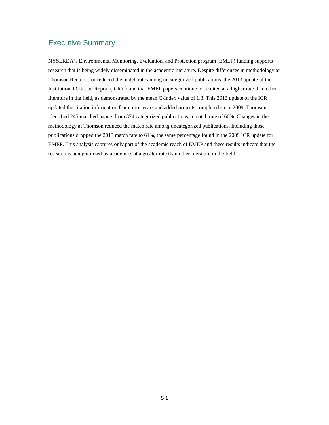### Executive Summary

NYSERDA's Environmental Monitoring, Evaluation, and Protection program (EMEP) funding supports research that is being widely disseminated in the academic literature. Despite differences in methodology at Thomson Reuters that reduced the match rate among uncategorized publications, the 2013 update of the Institutional Citation Report (ICR) found that EMEP papers continue to be cited at a higher rate than other literature in the field, as demonstrated by the mean C-Index value of 1.3. This 2013 update of the ICR updated the citation information from prior years and added projects completed since 2009. Thomson identified 245 matched papers from 374 categorized publications, a match rate of 66%. Changes in the methodology at Thomson reduced the match rate among uncategorized publications. Including those publications dropped the 2013 match rate to 61%, the same percentage found in the 2009 ICR update for EMEP. This analysis captures only part of the academic reach of EMEP and these results indicate that the research is being utilized by academics at a greater rate than other literature in the field.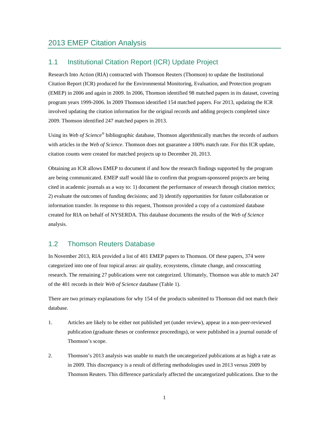#### 1.1 Institutional Citation Report (ICR) Update Project

Research Into Action (RIA) contracted with Thomson Reuters (Thomson) to update the Institutional Citation Report (ICR) produced for the Environmental Monitoring, Evaluation, and Protection program (EMEP) in 2006 and again in 2009. In 2006, Thomson identified 98 matched papers in its dataset, covering program years 1999-2006. In 2009 Thomson identified 154 matched papers. For 2013, updating the ICR involved updating the citation information for the original records and adding projects completed since 2009. Thomson identified 247 matched papers in 2013.

Using its *Web of Science*® bibliographic database, Thomson algorithmically matches the records of authors with articles in the *Web of Science*. Thomson does not guarantee a 100% match rate. For this ICR update, citation counts were created for matched projects up to December 20, 2013.

Obtaining an ICR allows EMEP to document if and how the research findings supported by the program are being communicated. EMEP staff would like to confirm that program-sponsored projects are being cited in academic journals as a way to: 1) document the performance of research through citation metrics; 2) evaluate the outcomes of funding decisions; and 3) identify opportunities for future collaboration or information transfer. In response to this request, Thomson provided a copy of a customized database created for RIA on behalf of NYSERDA. This database documents the results of the *Web of Science* analysis.

#### 1.2 Thomson Reuters Database

In November 2013, RIA provided a list of 401 EMEP papers to Thomson. Of these papers, 374 were categorized into one of four topical areas: air quality, ecosystems, climate change, and crosscutting research. The remaining 27 publications were not categorized. Ultimately, Thomson was able to match 247 of the 401 records in their *Web of Science* database (Table 1).

There are two primary explanations for why 154 of the products submitted to Thomson did not match their database.

- 1. Articles are likely to be either not published yet (under review), appear in a non-peer-reviewed publication (graduate theses or conference proceedings), or were published in a journal outside of Thomson's scope.
- 2. Thomson's 2013 analysis was unable to match the uncategorized publications at as high a rate as in 2009. This discrepancy is a result of differing methodologies used in 2013 versus 2009 by Thomson Reuters. This difference particularly affected the uncategorized publications. Due to the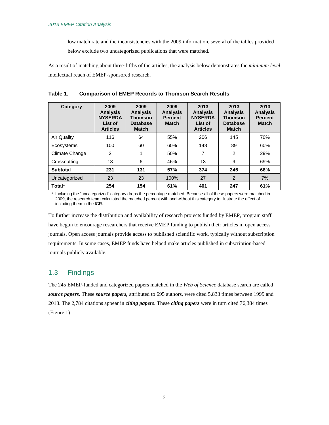low match rate and the inconsistencies with the 2009 information, several of the tables provided below exclude two uncategorized publications that were matched.

As a result of matching about three-fifths of the articles, the analysis below demonstrates the *minimum level*  intellectual reach of EMEP-sponsored research.

| Category           | 2009<br><b>Analysis</b><br><b>NYSERDA</b><br>List of<br><b>Articles</b> | 2009<br><b>Analysis</b><br>Thomson<br><b>Database</b><br><b>Match</b> | 2009<br><b>Analysis</b><br><b>Percent</b><br><b>Match</b> | 2013<br><b>Analysis</b><br><b>NYSERDA</b><br>List of<br><b>Articles</b> | 2013<br><b>Analysis</b><br><b>Thomson</b><br><b>Database</b><br><b>Match</b> | 2013<br><b>Analysis</b><br><b>Percent</b><br><b>Match</b> |
|--------------------|-------------------------------------------------------------------------|-----------------------------------------------------------------------|-----------------------------------------------------------|-------------------------------------------------------------------------|------------------------------------------------------------------------------|-----------------------------------------------------------|
| <b>Air Quality</b> | 116                                                                     | 64                                                                    | 55%                                                       | 206                                                                     | 145                                                                          | 70%                                                       |
| Ecosystems         | 100                                                                     | 60                                                                    | 60%                                                       | 148                                                                     | 89                                                                           | 60%                                                       |
| Climate Change     | 2                                                                       |                                                                       | 50%                                                       | 7                                                                       | 2                                                                            | 29%                                                       |
| Crosscutting       | 13                                                                      | 6                                                                     | 46%                                                       | 13                                                                      | 9                                                                            | 69%                                                       |
| Subtotal           | 231                                                                     | 131                                                                   | 57%                                                       | 374                                                                     | 245                                                                          | 66%                                                       |
| Uncategorized      | 23                                                                      | 23                                                                    | 100%                                                      | 27                                                                      | 2                                                                            | 7%                                                        |
| Total*             | 254                                                                     | 154                                                                   | 61%                                                       | 401                                                                     | 247                                                                          | 61%                                                       |

**Table 1. Comparison of EMEP Records to Thomson Search Results**

\* Including the "uncategorized" category drops the percentage matched. Because all of these papers were matched in 2009, the research team calculated the matched percent with and without this category to illustrate the effect of including them in the ICR.

To further increase the distribution and availability of research projects funded by EMEP, program staff have begun to encourage researchers that receive EMEP funding to publish their articles in open access journals. Open access journals provide access to published scientific work, typically without subscription requirements. In some cases, EMEP funds have helped make articles published in subscription-based journals publicly available.

#### 1.3 Findings

The 245 EMEP-funded and categorized papers matched in the *Web of Science* database search are called *source papers*. These *source papers,* attributed to 695 authors, were cited 5,833 times between 1999 and 2013. The 2,784 citations appear in *citing paper*s. These *citing papers* were in turn cited 76,384 times (Figure 1).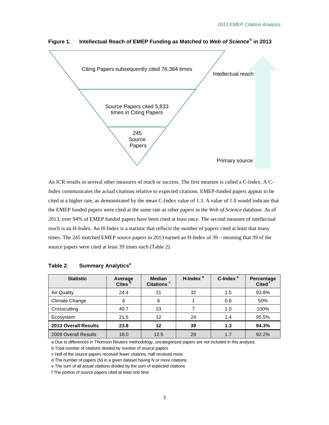

**Figure 1. Intellectual Reach of EMEP Funding as Matched to** *Web of Science***® in 2013**

An ICR results in several other measures of reach or success. The first measure is called a C-Index. A C-Index communicates the actual citations relative to expected citations. EMEP-funded papers appear to be cited at a higher rate, as demonstrated by the mean C-Index value of 1.3. A value of 1.0 would indicate that the EMEP funded papers were cited at the same rate as other papers in the *Web of Science* database. As of 2013, over 94% of EMEP funded papers have been cited at least once. The second measure of intellectual reach is an H-Index. An H-Index is a statistic that reflects the number of papers cited at least that many times. The 245 matched EMEP source papers in 2013 earned an H-Index of 39 – meaning that 39 of the source papers were cited at least 39 times each (Table 2).

| <b>Statistic</b>            | Average<br>Cites <sup>b</sup> | <b>Median</b><br>Citations <sup>c</sup> | H-Index <sup>a</sup> | C-Index <sup>e</sup> | Percentage<br><b>Cited</b> |
|-----------------------------|-------------------------------|-----------------------------------------|----------------------|----------------------|----------------------------|
| Air Quality                 | 24.4                          | 11                                      | 32                   | 1.5                  | 93.8%                      |
| Climate Change              | 6                             | 6                                       |                      | 0.8                  | 50%                        |
| Crosscutting                | 40.7                          | 23                                      |                      | 1.0                  | 100%                       |
| Ecosystem                   | 21.5                          | 12                                      | 24                   | 1.4                  | 95.5%                      |
| <b>2013 Overall Results</b> | 23.8                          | 12                                      | 39                   | 1.3                  | 94.3%                      |
| 2009 Overall Results        | 18.0                          | 12.5                                    | 29                   | 1.7                  | 92.2%                      |

#### **Table 2. Summary Analytics<sup>a</sup>**

a Due to differences in Thomson Reuters methodology, uncategorized papers are not included in this analysis.

b Total number of citations divided by number of source papers

c Half of the source papers received fewer citations, half received more

d The number of papers (N) in a given dataset having N or more citations.

e The sum of all actual citations divided by the sum of expected citations

f The portion of source papers cited at least one time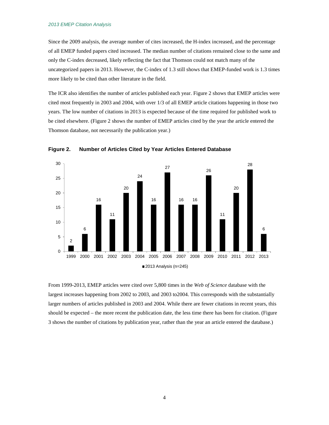#### *2013 EMEP Citation Analysis*

Since the 2009 analysis, the average number of cites increased, the H-index increased, and the percentage of all EMEP funded papers cited increased. The median number of citations remained close to the same and only the C-index decreased, likely reflecting the fact that Thomson could not match many of the uncategorized papers in 2013. However, the C-index of 1.3 still shows that EMEP-funded work is 1.3 times more likely to be cited than other literature in the field.

The ICR also identifies the number of articles published each year. Figure 2 shows that EMEP articles were cited most frequently in 2003 and 2004, with over 1/3 of all EMEP article citations happening in those two years. The low number of citations in 2013 is expected because of the time required for published work to be cited elsewhere. (Figure 2 shows the number of EMEP articles cited by the year the article entered the Thomson database, not necessarily the publication year.)



**Figure 2. Number of Articles Cited by Year Articles Entered Database**

From 1999-2013, EMEP articles were cited over 5,800 times in the *Web of Science* database with the largest increases happening from 2002 to 2003, and 2003 to2004. This corresponds with the substantially larger numbers of articles published in 2003 and 2004. While there are fewer citations in recent years, this should be expected – the more recent the publication date, the less time there has been for citation. (Figure 3 shows the number of citations by publication year, rather than the year an article entered the database.)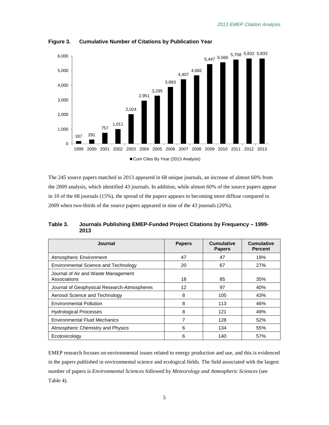

**Figure 3. Cumulative Number of Citations by Publication Year**

The 245 source papers matched in 2013 appeared in 68 unique journals, an increase of almost 60% from the 2009 analysis, which identified 43 journals. In addition, while almost 60% of the source papers appear in 10 of the 68 journals (15%), the spread of the papers appears to becoming more diffuse compared to 2009 when two-thirds of the source papers appeared in nine of the 43 journals (20%).

| Table 3. | Journals Publishing EMEP-Funded Project Citations by Frequency - 1999- |
|----------|------------------------------------------------------------------------|
|          | 2013                                                                   |

| Journal                                             | <b>Papers</b> | <b>Cumulative</b><br><b>Papers</b> | <b>Cumulative</b><br><b>Percent</b> |
|-----------------------------------------------------|---------------|------------------------------------|-------------------------------------|
| Atmospheric Environment                             | 47            | 47                                 | 19%                                 |
| Environmental Science and Technology                | 20            | 67                                 | 27%                                 |
| Journal of Air and Waste Management<br>Associations | 18            | 85                                 | 35%                                 |
| Journal of Geophysical Research-Atmospheres         | 12            | 97                                 | 40%                                 |
| Aerosol Science and Technology                      | 8             | 105                                | 43%                                 |
| <b>Environmental Pollution</b>                      | 8             | 113                                | 46%                                 |
| <b>Hydrological Processes</b>                       | 8             | 121                                | 49%                                 |
| <b>Environmental Fluid Mechanics</b>                | 7             | 128                                | 52%                                 |
| Atmospheric Chemistry and Physics                   | 6             | 134                                | 55%                                 |
| Ecotoxicology                                       | 6             | 140                                | 57%                                 |

EMEP research focuses on environmental issues related to energy production and use, and this is evidenced in the papers published in environmental science and ecological fields. The field associated with the largest number of papers is *Environmental Sciences* followed by *Meteorology and Atmospheric Sciences* (see Table 4).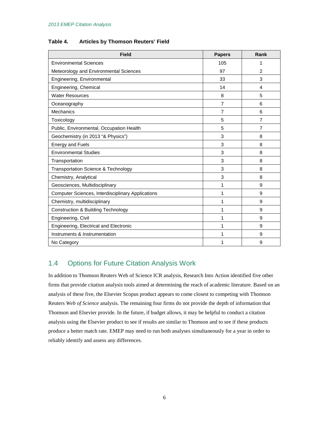| Table 4. |  | <b>Articles by Thomson Reuters' Field</b> |  |  |
|----------|--|-------------------------------------------|--|--|
|----------|--|-------------------------------------------|--|--|

| <b>Field</b>                                      | <b>Papers</b> | Rank           |
|---------------------------------------------------|---------------|----------------|
| <b>Environmental Sciences</b>                     | 105           | 1              |
| Meteorology and Environmental Sciences            | 97            | $\overline{2}$ |
| Engineering, Environmental                        | 33            | 3              |
| Engineering, Chemical                             | 14            | 4              |
| <b>Water Resources</b>                            | 8             | 5              |
| Oceanography                                      | 7             | 6              |
| <b>Mechanics</b>                                  | 7             | 6              |
| Toxicology                                        | 5             | 7              |
| Public, Environmental, Occupation Health          | 5             | $\overline{7}$ |
| Geochemistry (in 2013 "& Physics")                | 3             | 8              |
| <b>Energy and Fuels</b>                           | 3             | 8              |
| <b>Environmental Studies</b>                      | 3             | 8              |
| Transportation                                    | 3             | 8              |
| <b>Transportation Science &amp; Technology</b>    | 3             | 8              |
| Chemistry, Analytical                             | 3             | 8              |
| Geosciences, Multidisciplinary                    | 1             | 9              |
| Computer Sciences, Interdisciplinary Applications | 1             | 9              |
| Chemistry, multidisciplinary                      | 1             | 9              |
| <b>Construction &amp; Building Technology</b>     | 1             | 9              |
| Engineering, Civil                                | 1             | 9              |
| Engineering, Electrical and Electronic            | 1             | 9              |
| Instruments & Instrumentation                     | 1             | 9              |
| No Category                                       | 1             | 9              |

### 1.4 Options for Future Citation Analysis Work

In addition to Thomson Reuters Web of Science ICR analysis, Research Into Action identified five other firms that provide citation analysis tools aimed at determining the reach of academic literature. Based on an analysis of these five, the Elsevier Scopus product appears to come closest to competing with Thomson Reuters *Web of Science* analysis. The remaining four firms do not provide the depth of information that Thomson and Elsevier provide. In the future, if budget allows, it may be helpful to conduct a citation analysis using the Elsevier product to see if results are similar to Thomson and to see if these products produce a better match rate. EMEP may need to run both analyses simultaneously for a year in order to reliably identify and assess any differences.